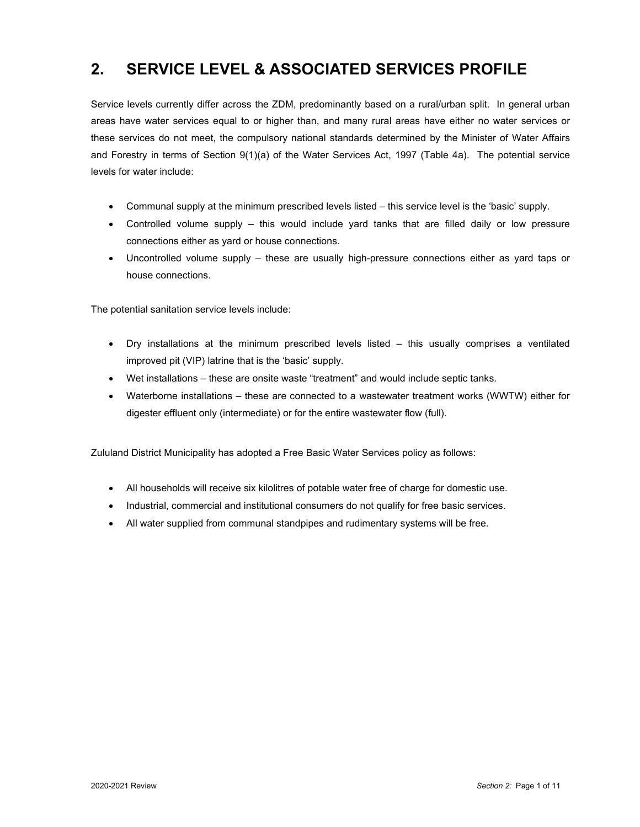# **2. SERVICE LEVEL & ASSOCIATED SERVICES PROFILE**

Service levels currently differ across the ZDM, predominantly based on a rural/urban split. In general urban areas have water services equal to or higher than, and many rural areas have either no water services or these services do not meet, the compulsory national standards determined by the Minister of Water Affairs and Forestry in terms of Section 9(1)(a) of the Water Services Act, 1997 (Table 4a). The potential service levels for water include:

- Communal supply at the minimum prescribed levels listed this service level is the 'basic' supply.
- Controlled volume supply this would include yard tanks that are filled daily or low pressure connections either as yard or house connections.
- Uncontrolled volume supply these are usually high-pressure connections either as yard taps or house connections.

The potential sanitation service levels include:

- Dry installations at the minimum prescribed levels listed this usually comprises a ventilated improved pit (VIP) latrine that is the 'basic' supply.
- Wet installations these are onsite waste "treatment" and would include septic tanks.
- Waterborne installations these are connected to a wastewater treatment works (WWTW) either for digester effluent only (intermediate) or for the entire wastewater flow (full).

Zululand District Municipality has adopted a Free Basic Water Services policy as follows:

- All households will receive six kilolitres of potable water free of charge for domestic use.
- Industrial, commercial and institutional consumers do not qualify for free basic services.
- All water supplied from communal standpipes and rudimentary systems will be free.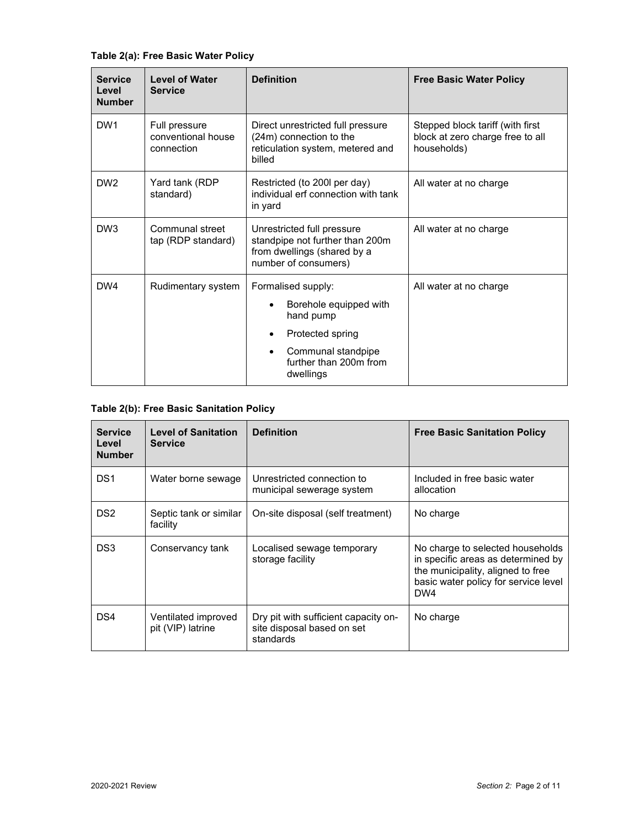| <b>Service</b><br>Level<br><b>Number</b> | <b>Level of Water</b><br><b>Service</b>           | <b>Definition</b>                                                                                                                                                    | <b>Free Basic Water Policy</b>                                                      |
|------------------------------------------|---------------------------------------------------|----------------------------------------------------------------------------------------------------------------------------------------------------------------------|-------------------------------------------------------------------------------------|
| DW <sub>1</sub>                          | Full pressure<br>conventional house<br>connection | Direct unrestricted full pressure<br>(24m) connection to the<br>reticulation system, metered and<br>billed                                                           | Stepped block tariff (with first<br>block at zero charge free to all<br>households) |
| DW <sub>2</sub>                          | Yard tank (RDP<br>standard)                       | Restricted (to 200l per day)<br>individual erf connection with tank<br>in yard                                                                                       | All water at no charge                                                              |
| DW <sub>3</sub>                          | Communal street<br>tap (RDP standard)             | Unrestricted full pressure<br>standpipe not further than 200m<br>from dwellings (shared by a<br>number of consumers)                                                 | All water at no charge                                                              |
| DW4                                      | Rudimentary system                                | Formalised supply:<br>Borehole equipped with<br>hand pump<br>Protected spring<br>$\bullet$<br>Communal standpipe<br>$\bullet$<br>further than 200m from<br>dwellings | All water at no charge                                                              |

### **Table 2(b): Free Basic Sanitation Policy**

| <b>Service</b><br>Level<br><b>Number</b> | <b>Level of Sanitation</b><br><b>Service</b> | <b>Definition</b>                                                               | <b>Free Basic Sanitation Policy</b>                                                                                                                        |
|------------------------------------------|----------------------------------------------|---------------------------------------------------------------------------------|------------------------------------------------------------------------------------------------------------------------------------------------------------|
| DS <sub>1</sub>                          | Water borne sewage                           | Unrestricted connection to<br>municipal sewerage system                         | Included in free basic water<br>allocation                                                                                                                 |
| DS <sub>2</sub>                          | Septic tank or similar<br>facility           | On-site disposal (self treatment)                                               | No charge                                                                                                                                                  |
| DS3                                      | Conservancy tank                             | Localised sewage temporary<br>storage facility                                  | No charge to selected households<br>in specific areas as determined by<br>the municipality, aligned to free<br>basic water policy for service level<br>DW4 |
| DS4                                      | Ventilated improved<br>pit (VIP) latrine     | Dry pit with sufficient capacity on-<br>site disposal based on set<br>standards | No charge                                                                                                                                                  |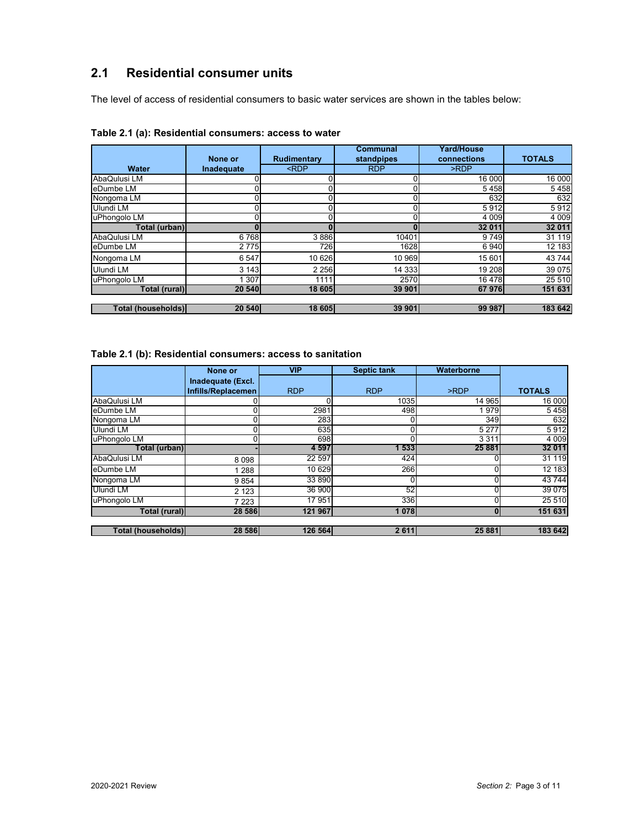# **2.1 Residential consumer units**

The level of access of residential consumers to basic water services are shown in the tables below:

|                    | None or    | Rudimentary                                                     | Communal<br>standpipes | Yard/House<br>connections | <b>TOTALS</b> |
|--------------------|------------|-----------------------------------------------------------------|------------------------|---------------------------|---------------|
| Water              | Inadequate | <rdp< th=""><th><b>RDP</b></th><th>&gt;RDP</th><th></th></rdp<> | <b>RDP</b>             | >RDP                      |               |
| AbaQulusi LM       | ור         |                                                                 | 0                      | 16 000                    | 16 000        |
| eDumbe LM          |            |                                                                 |                        | 5458                      | 5458          |
| Nongoma LM         |            |                                                                 |                        | 632                       | 632           |
| Ulundi LM          |            |                                                                 |                        | 5912                      | 5912          |
| uPhongolo LM       |            |                                                                 |                        | 4 0 0 9                   | 4 0 0 9       |
| Total (urban)      |            |                                                                 |                        | 32 011                    | 32 011        |
| AbaQulusi LM       | 6768       | 3886                                                            | 10401                  | 9749                      | 31 119        |
| eDumbe LM          | 2 7 7 5    | 726                                                             | 1628                   | 6940                      | 12 183        |
| Nongoma LM         | 6 5 4 7    | 10 626                                                          | 10 969                 | 15 601                    | 43744         |
| Ulundi LM          | 3 1 4 3    | 2 2 5 6                                                         | 14 3 33                | 19 208                    | 39 075        |
| uPhongolo LM       | 1 307      | 1111                                                            | 2570                   | 16478                     | 25 510        |
| Total (rural)      | 20 540     | 18 605                                                          | 39 901                 | 67976                     | 151 631       |
|                    |            |                                                                 |                        |                           |               |
| Total (households) | 20 540     | 18 605                                                          | 39 901                 | 99 987                    | 183 642       |

#### **Table 2.1 (a): Residential consumers: access to water**

#### **Table 2.1 (b): Residential consumers: access to sanitation**

|                    | None or            | <b>VIP</b> | <b>Septic tank</b> | Waterborne |               |
|--------------------|--------------------|------------|--------------------|------------|---------------|
|                    | Inadequate (Excl.  |            |                    |            |               |
|                    | Infills/Replacemen | <b>RDP</b> | <b>RDP</b>         | >RDP       | <b>TOTALS</b> |
| AbaQulusi LM       |                    |            | 1035               | 14 965     | 16 000        |
| eDumbe LM          |                    | 2981       | 498                | 1979       | 5458          |
| Nongoma LM         |                    | 283        |                    | 349        | 632           |
| Ulundi LM          |                    | 635        | 0                  | 5 2 7 7    | 5912          |
| uPhongolo LM       |                    | 698        | Ωl                 | 3311       | 4 0 0 9       |
| Total (urban)      |                    | 4 5 9 7    | 533                | 25 881     | 32 011        |
| AbaQulusi LM       | 8098               | 22 5 9 7   | 424                |            | 31 119        |
| eDumbe LM          | 1 2 8 8            | 10 629     | 266                |            | 12 183        |
| Nongoma LM         | 9854               | 33 890     | 0                  |            | 43744         |
| Ulundi LM          | 2 1 2 3            | 36 900     | 52                 |            | 39 0 75       |
| uPhongolo LM       | 7 2 2 3            | 17 951     | 336                |            | 25 5 10       |
| Total (rural)      | 28 586             | 121 967    | 1078               | 0          | 151 631       |
| Total (households) | 28 586             | 126 564    | 2 6 1 1            | 25 881     | 183 642       |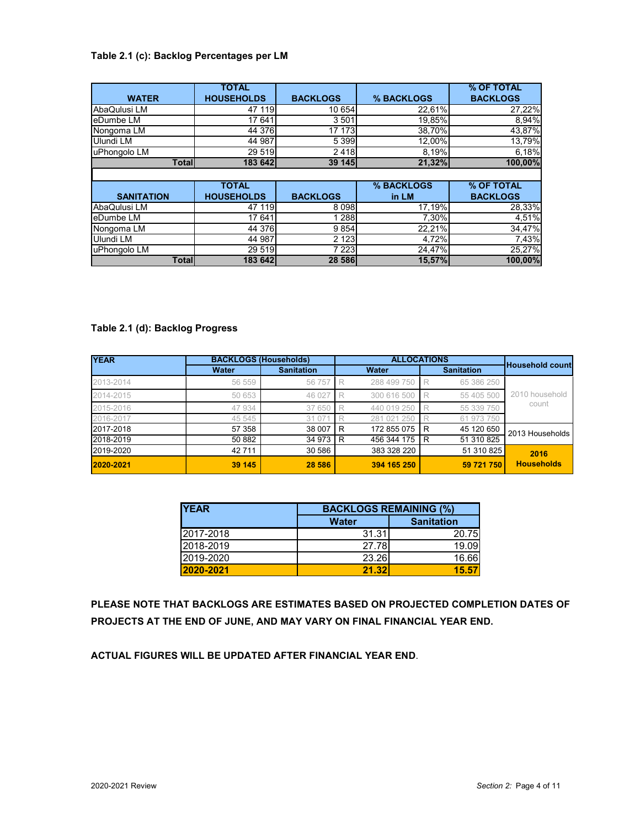#### **Table 2.1 (c): Backlog Percentages per LM**

|                   | <b>TOTAL</b>      |                 |            | % OF TOTAL      |
|-------------------|-------------------|-----------------|------------|-----------------|
| <b>WATER</b>      | <b>HOUSEHOLDS</b> | <b>BACKLOGS</b> | % BACKLOGS | <b>BACKLOGS</b> |
| AbaQulusi LM      | 47 119            | 10 654          | 22,61%     | 27,22%          |
| eDumbe LM         | 17 641            | 3501            | 19,85%     | 8,94%           |
| Nongoma LM        | 44 376            | 17 173          | 38,70%     | 43,87%          |
| Ulundi LM         | 44 987            | 5 3 9 9         | 12,00%     | 13,79%          |
| uPhongolo LM      | 29 519            | 2418            | 8,19%      | 6,18%           |
| <b>Total</b>      | 183 642           | <b>39 145</b>   | 21,32%     | 100,00%         |
|                   |                   |                 |            |                 |
|                   | <b>TOTAL</b>      |                 | % BACKLOGS | % OF TOTAL      |
| <b>SANITATION</b> | <b>HOUSEHOLDS</b> | <b>BACKLOGS</b> | in LM      | <b>BACKLOGS</b> |
| AbaQulusi LM      | 47 119            | 8098            | 17,19%     | 28,33%          |
| eDumbe LM         | 17 641            | 1 2 8 8         | 7,30%      | 4,51%           |
| Nongoma LM        | 44 376            | 9854            | 22,21%     | 34,47%          |
| Ulundi LM         | 44 987            | 2 1 2 3         | 4,72%      | 7,43%           |
| uPhongolo LM      | 29 519            | 7 2 2 3         | 24,47%     | 25,27%          |
| <b>Total</b>      | 183 642           | 28 586          | 15,57%     | 100,00%         |

### **Table 2.1 (d): Backlog Progress**

| <b>YEAR</b> |              | <b>BACKLOGS (Households)</b> |          |             | <b>ALLOCATIONS</b> |                   |                   |  |
|-------------|--------------|------------------------------|----------|-------------|--------------------|-------------------|-------------------|--|
|             | <b>Water</b> | <b>Sanitation</b>            |          | Water       |                    | <b>Sanitation</b> | Household count   |  |
| 2013-2014   | 56 559       | 56 757                       | <b>R</b> | 288 499 750 | R                  | 65 386 250        |                   |  |
| 2014-2015   | 50 653       | 46 027                       | R        | 300 616 500 | R                  | 55 405 500        | 2010 household    |  |
| 2015-2016   | 47 934       | 37 650                       | R        | 440 019 250 |                    | 55 339 750        | count             |  |
| 2016-2017   | 45 545       | 31 0 71                      |          | 281 021 250 |                    | 61 973 750        |                   |  |
| 2017-2018   | 57 358       | 38 007                       | IR.      | 172 855 075 | R                  | 45 120 650        | 2013 Households   |  |
| 2018-2019   | 50 882       | 34 973 R                     |          | 456 344 175 | R                  | 51 310 825        |                   |  |
| 2019-2020   | 42 711       | 30 586                       |          | 383 328 220 |                    | 51 310 825        | 2016              |  |
| 2020-2021   | 39 145       | 28 5 86                      |          | 394 165 250 |                    | 59 721 750        | <b>Households</b> |  |

| <b>YEAR</b> |                                   | <b>BACKLOGS REMAINING (%)</b> |  |  |  |  |
|-------------|-----------------------------------|-------------------------------|--|--|--|--|
|             | <b>Sanitation</b><br><b>Water</b> |                               |  |  |  |  |
| 2017-2018   | 31.31                             | 20.75                         |  |  |  |  |
| 2018-2019   | 27.78                             | 19.09                         |  |  |  |  |
| 2019-2020   | 23.26                             | 16.66                         |  |  |  |  |
| 2020-2021   | 21.32                             | 15.57                         |  |  |  |  |

**PLEASE NOTE THAT BACKLOGS ARE ESTIMATES BASED ON PROJECTED COMPLETION DATES OF PROJECTS AT THE END OF JUNE, AND MAY VARY ON FINAL FINANCIAL YEAR END.** 

**ACTUAL FIGURES WILL BE UPDATED AFTER FINANCIAL YEAR END**.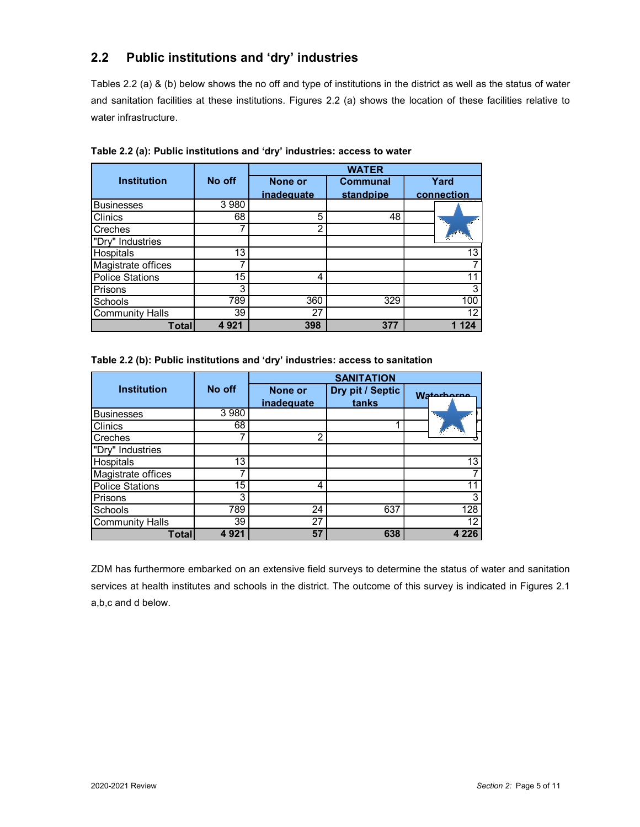## **2.2 Public institutions and 'dry' industries**

Tables 2.2 (a) & (b) below shows the no off and type of institutions in the district as well as the status of water and sanitation facilities at these institutions. Figures 2.2 (a) shows the location of these facilities relative to water infrastructure.

|                        |         |            | <b>WATER</b>    |            |
|------------------------|---------|------------|-----------------|------------|
| <b>Institution</b>     | No off  | None or    | <b>Communal</b> | Yard       |
|                        |         | inadequate | standpipe       | connection |
| <b>Businesses</b>      | 3 9 8 0 |            |                 |            |
| Clinics                | 68      | 5          | 48              |            |
| Creches                |         | 2          |                 |            |
| "Dry" Industries       |         |            |                 |            |
| Hospitals              | 13      |            |                 | 13         |
| Magistrate offices     |         |            |                 |            |
| <b>Police Stations</b> | 15      | 4          |                 | 11         |
| Prisons                | 3       |            |                 | 3          |
| Schools                | 789     | 360        | 329             | 100        |
| <b>Community Halls</b> | 39      | 27         |                 | 12         |
| Total                  | 4 9 2 1 | 398        | 377             | 24         |

**Table 2.2 (a): Public institutions and 'dry' industries: access to water** 

|  | Table 2.2 (b): Public institutions and 'dry' industries: access to sanitation |  |  |  |
|--|-------------------------------------------------------------------------------|--|--|--|
|  |                                                                               |  |  |  |

|                        |         | <b>SANITATION</b>            |                           |            |  |  |  |
|------------------------|---------|------------------------------|---------------------------|------------|--|--|--|
| <b>Institution</b>     | No off  | <b>None or</b><br>inadequate | Dry pit / Septic<br>tanks | Waterborne |  |  |  |
| <b>Businesses</b>      | 3 9 8 0 |                              |                           |            |  |  |  |
| <b>Clinics</b>         | 68      |                              |                           |            |  |  |  |
| <b>Creches</b>         |         | $\mathfrak{p}$               |                           |            |  |  |  |
| "Dry" Industries       |         |                              |                           |            |  |  |  |
| Hospitals              | 13      |                              |                           | 13         |  |  |  |
| Magistrate offices     |         |                              |                           |            |  |  |  |
| <b>Police Stations</b> | 15      | 4                            |                           |            |  |  |  |
| Prisons                | 3       |                              |                           | 3          |  |  |  |
| Schools                | 789     | 24                           | 637                       | 128        |  |  |  |
| <b>Community Halls</b> | 39      | 27                           |                           | 12         |  |  |  |
| Totall                 | 4921    | 57                           | 638                       | 4 2 2 6    |  |  |  |

ZDM has furthermore embarked on an extensive field surveys to determine the status of water and sanitation services at health institutes and schools in the district. The outcome of this survey is indicated in Figures 2.1 a,b,c and d below.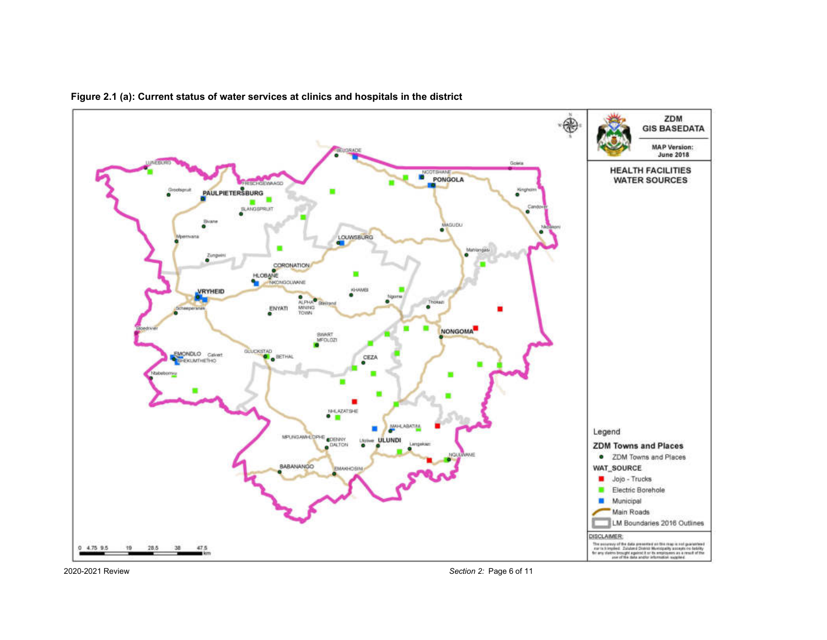





2020-2021 Review *Section 2:* Page 6 of 11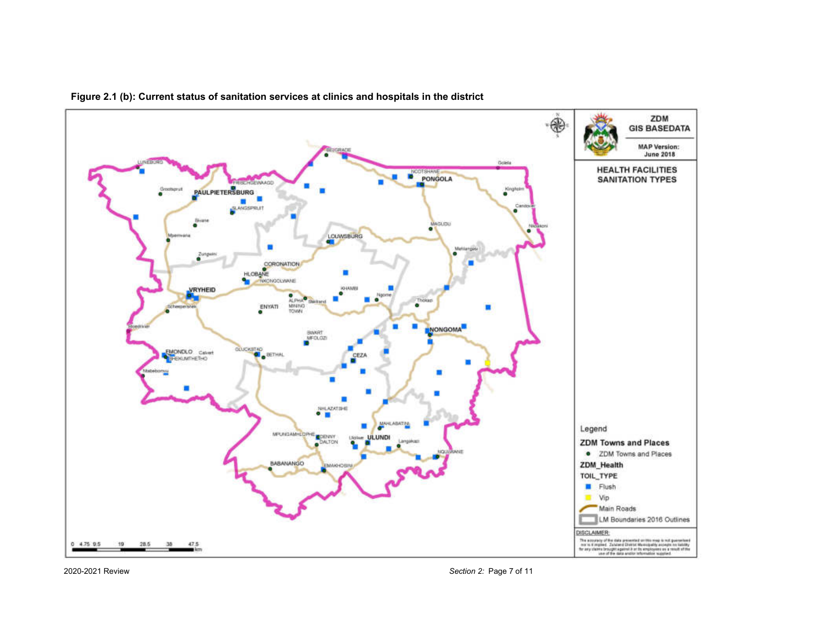

**Figure 2.1 (b): Current status of sanitation services at clinics and hospitals in the district** 

<sup>2020-2021</sup> Review *Section 2:* Page 7 of 11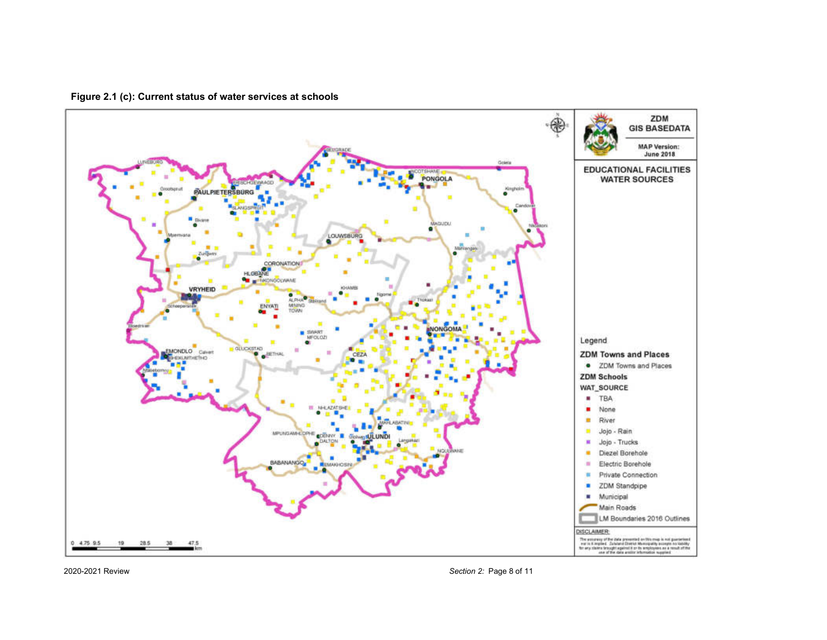**Figure 2.1 (c): Current status of water services at schools** 



2020-2021 Review *Section 2:* Page 8 of 11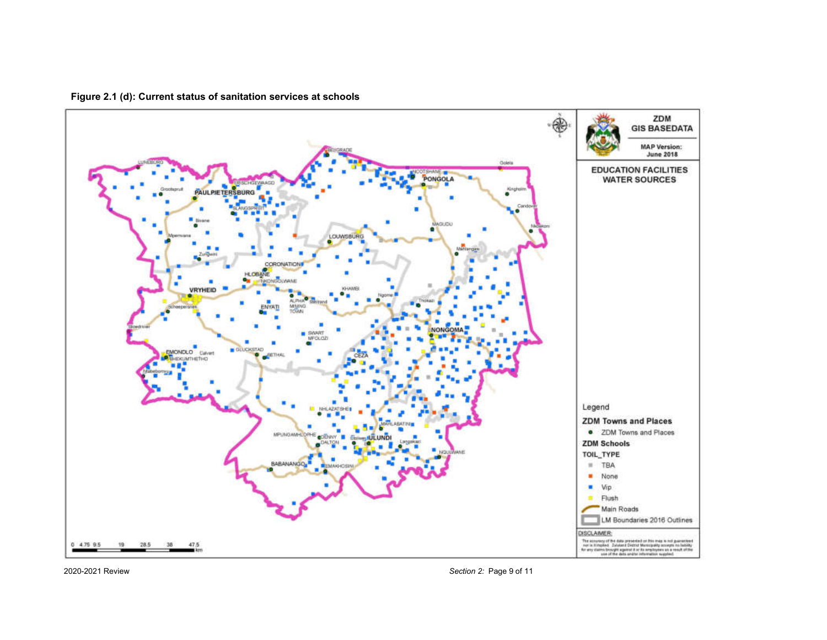

**Figure 2.1 (d): Current status of sanitation services at schools** 



2020-2021 Review *Section 2:* Page 9 of 11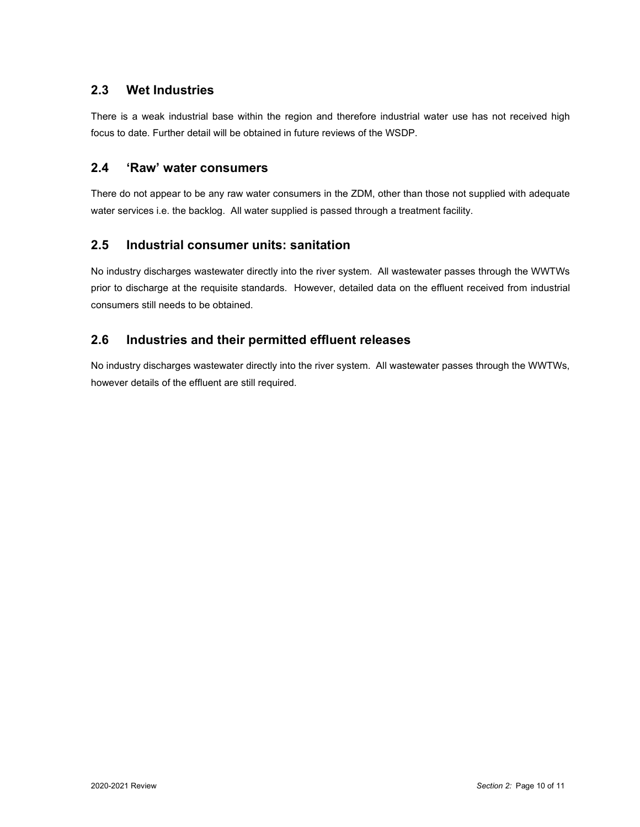### **2.3 Wet Industries**

There is a weak industrial base within the region and therefore industrial water use has not received high focus to date. Further detail will be obtained in future reviews of the WSDP.

### **2.4 'Raw' water consumers**

There do not appear to be any raw water consumers in the ZDM, other than those not supplied with adequate water services i.e. the backlog. All water supplied is passed through a treatment facility.

### **2.5 Industrial consumer units: sanitation**

No industry discharges wastewater directly into the river system. All wastewater passes through the WWTWs prior to discharge at the requisite standards. However, detailed data on the effluent received from industrial consumers still needs to be obtained.

## **2.6 Industries and their permitted effluent releases**

No industry discharges wastewater directly into the river system. All wastewater passes through the WWTWs, however details of the effluent are still required.